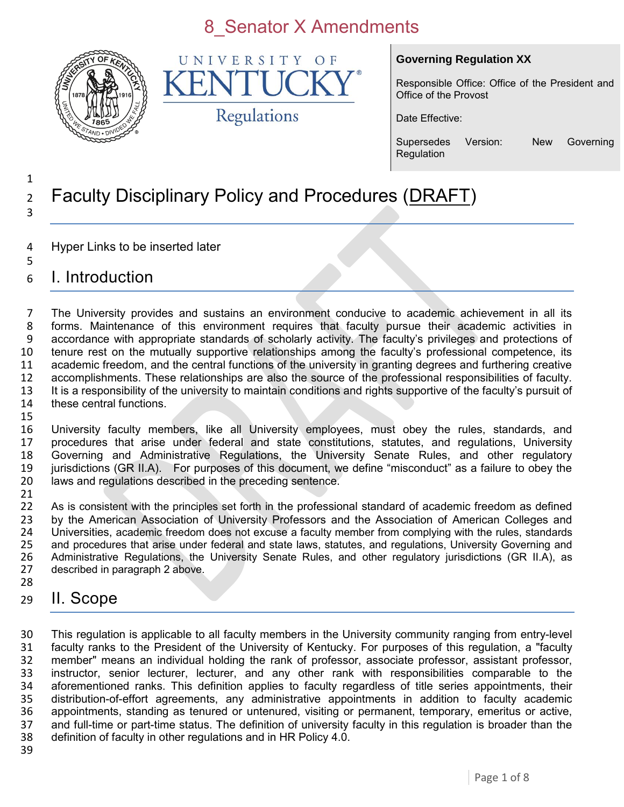

UNIVERSITY OF K Regulations

#### **Governing Regulation XX**

Responsible Office: Office of the President and Office of the Provost

Date Effective:

Supersedes Version: New Governing **Regulation** 

#### 1 <sup>2</sup> Faculty Disciplinary Policy and Procedures (DRAFT) 3

- 4 Hyper Links to be inserted later
- 5 6 I. Introduction

 The University provides and sustains an environment conducive to academic achievement in all its forms. Maintenance of this environment requires that faculty pursue their academic activities in accordance with appropriate standards of scholarly activity. The faculty's privileges and protections of tenure rest on the mutually supportive relationships among the faculty's professional competence, its academic freedom, and the central functions of the university in granting degrees and furthering creative accomplishments. These relationships are also the source of the professional responsibilities of faculty. It is a responsibility of the university to maintain conditions and rights supportive of the faculty's pursuit of these central functions. 15

 University faculty members, like all University employees, must obey the rules, standards, and procedures that arise under federal and state constitutions, statutes, and regulations, University Governing and Administrative Regulations, the University Senate Rules, and other regulatory jurisdictions (GR II.A). For purposes of this document, we define "misconduct" as a failure to obey the laws and regulations described in the preceding sentence.

21<br>22 As is consistent with the principles set forth in the professional standard of academic freedom as defined 23 by the American Association of University Professors and the Association of American Colleges and<br>24 Dhiversities, academic freedom does not excuse a faculty member from complying with the rules, standards 24 Universities, academic freedom does not excuse a faculty member from complying with the rules, standards<br>25 and procedures that arise under federal and state laws, statutes, and regulations, University Governing and 25 and procedures that arise under federal and state laws, statutes, and regulations, University Governing and<br>26 Administrative Regulations, the University Senate Rules, and other regulatory jurisdictions (GR II.A), as 26 Administrative Regulations, the University Senate Rules, and other regulatory jurisdictions (GR II.A), as 27 described in paragraph 2 above. described in paragraph 2 above. 28

29 II. Scope

 This regulation is applicable to all faculty members in the University community ranging from entry-level faculty ranks to the President of the University of Kentucky. For purposes of this regulation, a "faculty member" means an individual holding the rank of professor, associate professor, assistant professor, instructor, senior lecturer, lecturer, and any other rank with responsibilities comparable to the aforementioned ranks. This definition applies to faculty regardless of title series appointments, their distribution-of-effort agreements, any administrative appointments in addition to faculty academic 36 appointments, standing as tenured or untenured, visiting or permanent, temporary, emeritus or active, 37 and full-time or part-time status. The definition of university faculty in this regulation is broader than the and full-time or part-time status. The definition of university faculty in this regulation is broader than the definition of faculty in other regulations and in HR Policy 4.0.

39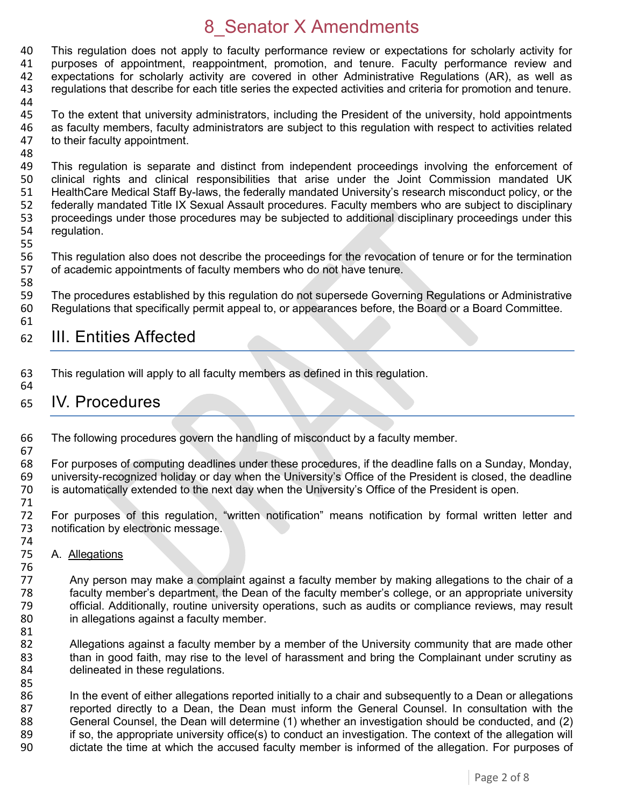40 This regulation does not apply to faculty performance review or expectations for scholarly activity for 41 purposes of appointment, reappointment, promotion, and tenure, Faculty performance review and 41 purposes of appointment, reappointment, promotion, and tenure. Faculty performance review and 42 expectations for scholarly activity are covered in other Administrative Regulations (AR), as well as 43 regulations that describe for each title series the expected activities and criteria for promotion and tenure. 44

- 45 To the extent that university administrators, including the President of the university, hold appointments 46 as faculty members, faculty administrators are subject to this regulation with respect to activities related 47 to their faculty appointment. to their faculty appointment.
- 48<br>49

49 This regulation is separate and distinct from independent proceedings involving the enforcement of 400 Clinical rights and clinical responsibilities that arise under the Joint Commission mandated UK clinical rights and clinical responsibilities that arise under the Joint Commission mandated UK 51 HealthCare Medical Staff By-laws, the federally mandated University's research misconduct policy, or the 52 federally mandated Title IX Sexual Assault procedures. Faculty members who are subject to disciplinary<br>53 proceedings under those procedures may be subjected to additional disciplinary proceedings under this 53 proceedings under those procedures may be subjected to additional disciplinary proceedings under this 54 requidation. regulation.

55

58

56 This regulation also does not describe the proceedings for the revocation of tenure or for the termination<br>57 of academic appointments of faculty members who do not have tenure. of academic appointments of faculty members who do not have tenure.

59 The procedures established by this regulation do not supersede Governing Regulations or Administrative 60 Regulations that specifically permit appeal to, or appearances before, the Board or a Board Committee. 61

#### 62 III. Entities Affected

63 This regulation will apply to all faculty members as defined in this regulation. 64

#### 65 IV. Procedures

66 The following procedures govern the handling of misconduct by a faculty member. 67

68 For purposes of computing deadlines under these procedures, if the deadline falls on a Sunday, Monday, 69 university-recognized holiday or day when the University's Office of the President is closed, the deadline university-recognized holiday or day when the University's Office of the President is closed, the deadline 70 is automatically extended to the next day when the University's Office of the President is open.

71 For purposes of this regulation, "written notification" means notification by formal written letter and 73 notification by electronic message.

74<br>75 A. Allegations

76<br>77 Any person may make a complaint against a faculty member by making allegations to the chair of a 78 faculty member's department, the Dean of the faculty member's college, or an appropriate university 79 official. Additionally, routine university operations, such as audits or compliance reviews, may result 80 in allegations against a faculty member.

81<br>82

82 Allegations against a faculty member by a member of the University community that are made other<br>83 than in good faith, may rise to the level of harassment and bring the Complainant under scrutiny as than in good faith, may rise to the level of harassment and bring the Complainant under scrutiny as 84 delineated in these regulations.

85<br>86 In the event of either allegations reported initially to a chair and subsequently to a Dean or allegations 87 reported directly to a Dean, the Dean must inform the General Counsel. In consultation with the 88 General Counsel, the Dean will determine (1) whether an investigation should be conducted, and (2) <br>89 if so, the appropriate university office(s) to conduct an investigation. The context of the allegation will 89 if so, the appropriate university office(s) to conduct an investigation. The context of the allegation will<br>90 dictate the time at which the accused faculty member is informed of the allegation. For purposes of dictate the time at which the accused faculty member is informed of the allegation. For purposes of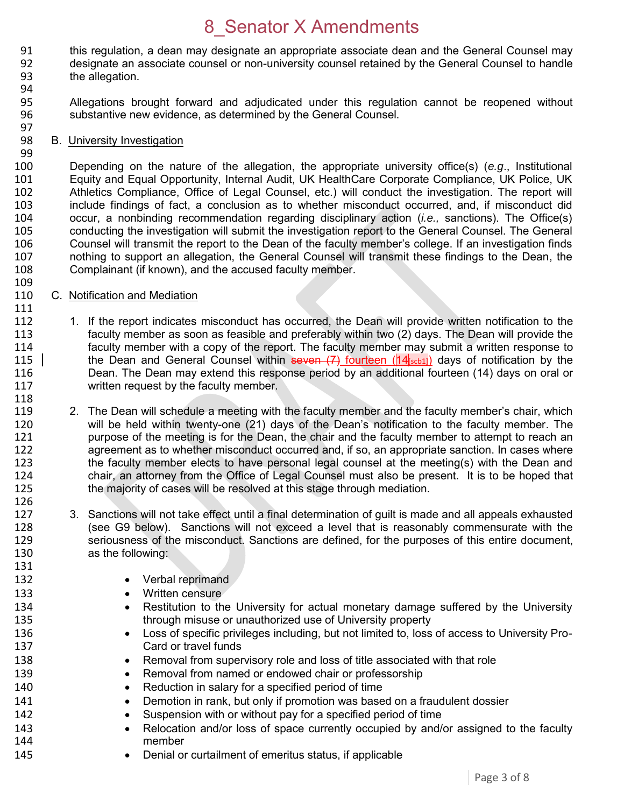- 91 this regulation, a dean may designate an appropriate associate dean and the General Counsel may<br>92 designate an associate counsel or non-university counsel retained by the General Counsel to handle designate an associate counsel or non-university counsel retained by the General Counsel to handle 93 the allegation.
- 94

99

109

111

118

131

- 95 Allegations brought forward and adjudicated under this regulation cannot be reopened without 96 substantive new evidence, as determined by the General Counsel.
- 97<br>98 B. University Investigation

100 Depending on the nature of the allegation, the appropriate university office(s) (*e.g*., Institutional Equity and Equal Opportunity, Internal Audit, UK HealthCare Corporate Compliance, UK Police, UK 102 Athletics Compliance, Office of Legal Counsel, etc.) will conduct the investigation. The report will 103 include findings of fact, a conclusion as to whether misconduct occurred, and, if misconduct did<br>104 occur. a nonbinding recommendation regarding disciplinary action *(i.e.*, sanctions). The Office(s) 104 occur, a nonbinding recommendation regarding disciplinary action (*i.e.,* sanctions). The Office(s) 105 conducting the investigation will submit the investigation report to the General Counsel. The General<br>106 Counsel will transmit the report to the Dean of the faculty member's college. If an investigation finds 106 Counsel will transmit the report to the Dean of the faculty member's college. If an investigation finds 107 nothing to support an allegation, the General Counsel will transmit these findings to the Dean, the 108 complainant (if known), and the accused faculty member. Complainant (if known), and the accused faculty member.

- 110 C. Notification and Mediation
- 112 1. If the report indicates misconduct has occurred, the Dean will provide written notification to the 113 faculty member as soon as feasible and preferably within two (2) days. The Dean will provide the<br>114 faculty member with a copy of the report. The faculty member may submit a written response to 114 faculty member with a copy of the report. The faculty member may submit a written response to<br>115  $\vert$  the Dean and General Counsel within seven (7) fourteen (14 $\vert$ <sub>scb1</sub>) days of notification by the the Dean and General Counsel within seven  $(7)$  fourteen (14 $|s_{\text{cbb1}}|$ ) days of notification by the 116 Dean. The Dean may extend this response period by an additional fourteen (14) days on oral or 117 written request by the faculty member.
- 119 2. The Dean will schedule a meeting with the faculty member and the faculty member's chair, which<br>120 will be held within twenty-one (21) days of the Dean's notification to the faculty member. The 120 will be held within twenty-one (21) days of the Dean's notification to the faculty member. The<br>121 http://www.purpose of the meeting is for the Dean, the chair and the faculty member to attempt to reach an 121 purpose of the meeting is for the Dean, the chair and the faculty member to attempt to reach an<br>122 an agreement as to whether misconduct occurred and, if so, an appropriate sanction. In cases where agreement as to whether misconduct occurred and, if so, an appropriate sanction. In cases where 123 the faculty member elects to have personal legal counsel at the meeting(s) with the Dean and 124 chair, an attorney from the Office of Legal Counsel must also be present. It is to be hoped that 125 the majority of cases will be resolved at this stage through mediation. the majority of cases will be resolved at this stage through mediation.
- 126 127 3. Sanctions will not take effect until a final determination of guilt is made and all appeals exhausted 128 (see G9 below). Sanctions will not exceed a level that is reasonably commensurate with the 129 seriousness of the misconduct. Sanctions are defined, for the purposes of this entire document, 130 as the following:
- 132 **•** Verbal reprimand
- 133 **Written censure**
- 134 **•** Restitution to the University for actual monetary damage suffered by the University 135 through misuse or unauthorized use of University property
- 136 **Loss of specific privileges including, but not limited to, loss of access to University Pro-**137 Card or travel funds
- 138 **••** Removal from supervisory role and loss of title associated with that role
- 139 **Removal from named or endowed chair or professorship**
- 140 Reduction in salary for a specified period of time
- 141 **Demotion in rank, but only if promotion was based on a fraudulent dossier**
- 142 Suspension with or without pay for a specified period of time
- 143 
Relocation and/or loss of space currently occupied by and/or assigned to the faculty<br>
144 member
- 145 **•** Denial or curtailment of emeritus status, if applicable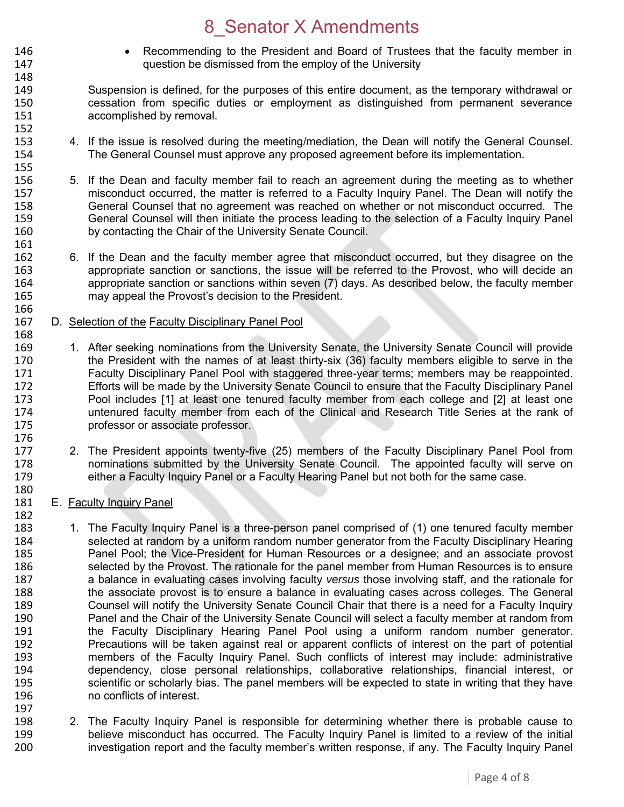- 146 Recommending to the President and Board of Trustees that the faculty member in<br>147 **147** auestion be dismissed from the employ of the University question be dismissed from the employ of the University
- 149 Suspension is defined, for the purposes of this entire document, as the temporary withdrawal or 150 cessation from specific duties or employment as distinguished from permanent severance 151 accomplished by removal. 152<br>153
- 4. If the issue is resolved during the meeting/mediation, the Dean will notify the General Counsel. 154 The General Counsel must approve any proposed agreement before its implementation.
- 155<br>156 5. If the Dean and faculty member fail to reach an agreement during the meeting as to whether 157 misconduct occurred, the matter is referred to a Faculty Inquiry Panel. The Dean will notify the 158 General Counsel that no agreement was reached on whether or not misconduct occurred. The<br>159 General Counsel will then initiate the process leading to the selection of a Faculty Inquiry Panel 159 General Counsel will then initiate the process leading to the selection of a Faculty Inquiry Panel<br>160 by contacting the Chair of the University Senate Council. by contacting the Chair of the University Senate Council.
- 162 6. If the Dean and the faculty member agree that misconduct occurred, but they disagree on the<br>163 **163** appropriate sanction or sanctions, the issue will be referred to the Provost, who will decide an appropriate sanction or sanctions, the issue will be referred to the Provost, who will decide an 164 appropriate sanction or sanctions within seven (7) days. As described below, the faculty member 165 may appeal the Provost's decision to the President.
- 166<br>167 D. Selection of the Faculty Disciplinary Panel Pool
- 168<br>169 1. After seeking nominations from the University Senate, the University Senate Council will provide 170 the President with the names of at least thirty-six (36) faculty members eligible to serve in the 171 Faculty Disciplinary Panel Pool with staggered three-year terms; members may be reappointed.<br>172 Ffforts will be made by the University Senate Council to ensure that the Faculty Disciplinary Panel Efforts will be made by the University Senate Council to ensure that the Faculty Disciplinary Panel 173 Pool includes [1] at least one tenured faculty member from each college and [2] at least one 174 untenured faculty member from each of the Clinical and Research Title Series at the rank of 175 professor or associate professor. 176<br>177
- 2. The President appoints twenty-five (25) members of the Faculty Disciplinary Panel Pool from 178 nominations submitted by the University Senate Council. The appointed faculty will serve on 179 either a Faculty Inquiry Panel or a Faculty Hearing Panel but not both for the same case.
- 180<br>181 E. Faculty Inquiry Panel

148

161<br>162

- 182<br>183 1. The Faculty Inquiry Panel is a three-person panel comprised of (1) one tenured faculty member 184 selected at random by a uniform random number generator from the Faculty Disciplinary Hearing<br>185 **1888** Panel Pool: the Vice-President for Human Resources or a designee: and an associate provost 185 Panel Pool; the Vice-President for Human Resources or a designee; and an associate provost 186<br>186 Selected by the Provost. The rationale for the panel member from Human Resources is to ensure selected by the Provost. The rationale for the panel member from Human Resources is to ensure 187 a balance in evaluating cases involving faculty *versus* those involving staff, and the rationale for 188 the associate provost is to ensure a balance in evaluating cases across colleges. The General 189 Counsel will notify the University Senate Council Chair that there is a need for a Faculty Inquiry 190 Panel and the Chair of the University Senate Council will select a faculty member at random from 191 the Faculty Disciplinary Hearing Panel Pool using a uniform random number generator. 192 Precautions will be taken against real or apparent conflicts of interest on the part of potential<br>193 **IED Entior Concilists** of the Faculty Inquiry Panel. Such conflicts of interest may include: administrative members of the Faculty Inquiry Panel. Such conflicts of interest may include: administrative 194 dependency, close personal relationships, collaborative relationships, financial interest, or 195 scientific or scholarly bias. The panel members will be expected to state in writing that they have 196 no conflicts of interest. 197
- 198 2. The Faculty Inquiry Panel is responsible for determining whether there is probable cause to<br>199 http://www.believe misconduct has occurred. The Faculty Inquiry Panel is limited to a review of the initial 199 believe misconduct has occurred. The Faculty Inquiry Panel is limited to a review of the initial<br>100 http://www.investigation report and the faculty member's written response, if any. The Faculty Inquiry Pane investigation report and the faculty member's written response, if any. The Faculty Inquiry Panel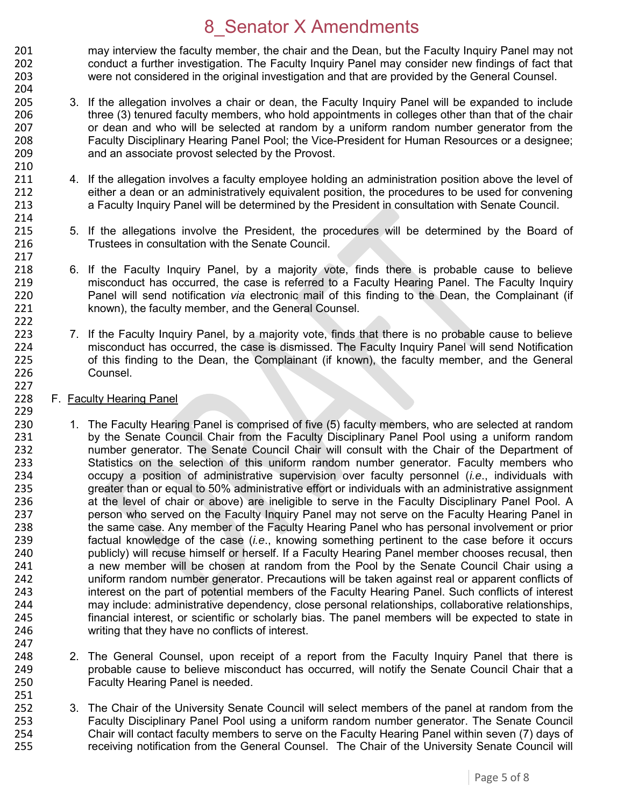201 may interview the faculty member, the chair and the Dean, but the Faculty Inquiry Panel may not<br>202 conduct a further investigation. The Faculty Inquiry Panel may consider new findings of fact that 202 conduct a further investigation. The Faculty Inquiry Panel may consider new findings of fact that 203 were not considered in the original investigation and that are provided by the General Counsel. 204

- 205 3. If the allegation involves a chair or dean, the Faculty Inquiry Panel will be expanded to include 206 three (3) tenured faculty members, who hold appointments in colleges other than that of the chair 207 or dean and who will be selected at random by a uniform random number generator from the<br>208 **19. Eaculty Disciplinary Hearing Panel Pool**: the Vice-President for Human Resources or a designee: 208 Faculty Disciplinary Hearing Panel Pool; the Vice-President for Human Resources or a designee; 209 and an associate provost selected by the Provost.
- 4. If the allegation involves a faculty employee holding an administration position above the level of 212 either a dean or an administratively equivalent position, the procedures to be used for convening 213 a Faculty Inquiry Panel will be determined by the President in consultation with Senate Council.
- 215 5. If the allegations involve the President, the procedures will be determined by the Board of 216 Trustees in consultation with the Senate Council.
- 6. If the Faculty Inquiry Panel, by a majority vote, finds there is probable cause to believe 219 misconduct has occurred, the case is referred to a Faculty Hearing Panel. The Faculty Inquiry 220 Panel will send notification *via* electronic mail of this finding to the Dean, the Complainant (if 221 known), the faculty member, and the General Counsel.
- 223 7. If the Faculty Inquiry Panel, by a majority vote, finds that there is no probable cause to believe<br>224 misconduct has occurred, the case is dismissed. The Faculty Inquiry Panel will send Notification 224 misconduct has occurred, the case is dismissed. The Faculty Inquiry Panel will send Notification<br>225 of this finding to the Dean, the Complainant (if known), the faculty member, and the General 225 of this finding to the Dean, the Complainant (if known), the faculty member, and the General 226 Counsel.
- 228 F. Faculty Hearing Panel

210<br>211

214<br>215

217<br>218

222

227

247

251

- 229<br>230 230 1. The Faculty Hearing Panel is comprised of five (5) faculty members, who are selected at random<br>231 by the Senate Council Chair from the Faculty Disciplinary Panel Pool using a uniform random 231 by the Senate Council Chair from the Faculty Disciplinary Panel Pool using a uniform random<br>232 humber generator. The Senate Council Chair will consult with the Chair of the Department of number generator. The Senate Council Chair will consult with the Chair of the Department of 233 Statistics on the selection of this uniform random number generator. Faculty members who 234 occupy a position of administrative supervision over faculty personnel (*i.e*., individuals with 235 greater than or equal to 50% administrative effort or individuals with an administrative assignment 236 at the level of chair or above) are ineligible to serve in the Faculty Disciplinary Panel Pool. A 237 person who served on the Faculty Inquiry Panel may not serve on the Faculty Hearing Panel in 238 the same case. Any member of the Faculty Hearing Panel who has personal involvement or prior 239 factual knowledge of the case (*i.e*., knowing something pertinent to the case before it occurs 240 publicly) will recuse himself or herself. If a Faculty Hearing Panel member chooses recusal, then<br>241 anew member will be chosen at random from the Pool by the Senate Council Chair using a a new member will be chosen at random from the Pool by the Senate Council Chair using a 242 uniform random number generator. Precautions will be taken against real or apparent conflicts of 243 interest on the part of potential members of the Faculty Hearing Panel. Such conflicts of interest 244 may include: administrative dependency, close personal relationships, collaborative relationships,<br>245 financial interest, or scientific or scholarly bias. The panel members will be expected to state in financial interest, or scientific or scholarly bias. The panel members will be expected to state in 246 writing that they have no conflicts of interest.
- 248 248 2. The General Counsel, upon receipt of a report from the Faculty Inquiry Panel that there is 249 probable cause to believe misconduct has occurred, will notify the Senate Council Chair that a 250 Faculty Hearing Panel is needed.
- 252 3. The Chair of the University Senate Council will select members of the panel at random from the<br>253 Faculty Disciplinary Panel Pool using a uniform random number generator. The Senate Council 253 Faculty Disciplinary Panel Pool using a uniform random number generator. The Senate Council 254 Chair will contact faculty members to serve on the Faculty Hearing Panel within seven (7) days of 255 receiving notification from the General Counsel. The Chair of the University Senate Council will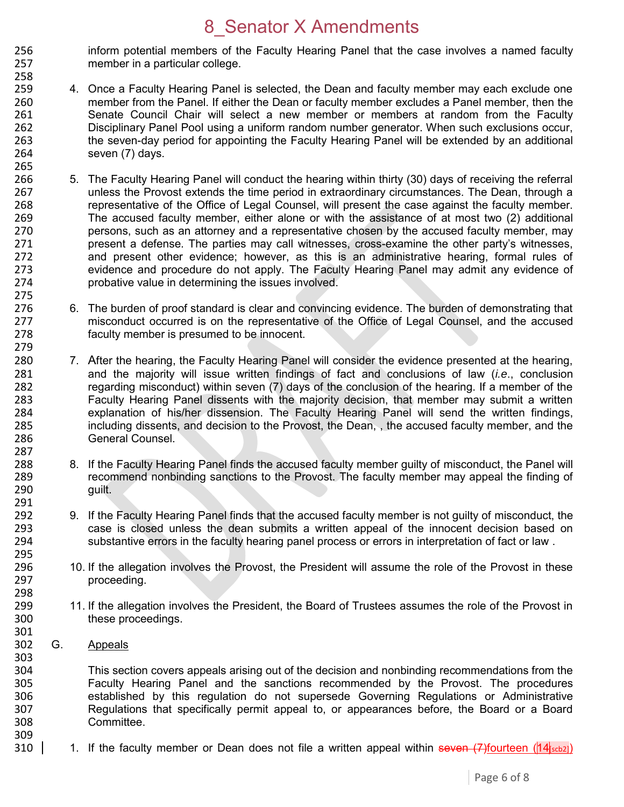- 256 inform potential members of the Faculty Hearing Panel that the case involves a named faculty<br>257 member in a particular college. member in a particular college.
- 259 4. Once a Faculty Hearing Panel is selected, the Dean and faculty member may each exclude one 260 member from the Panel. If either the Dean or faculty member excludes a Panel member, then the 261 Senate Council Chair will select a new member or members at random from the Faculty 262 Disciplinary Panel Pool using a uniform random number generator. When such exclusions occur, 263 the seven-day period for appointing the Faculty Hearing Panel will be extended by an additional 264 seven (7) days. seven (7) days.
- 265<br>266 266 5. The Faculty Hearing Panel will conduct the hearing within thirty (30) days of receiving the referral 267 unless the Provost extends the time period in extraordinary circumstances. The Dean, through a 268 representative of the Office of Legal Counsel, will present the case against the faculty member.<br>269 The accused faculty member, either alone or with the assistance of at most two (2) additional 269 The accused faculty member, either alone or with the assistance of at most two (2) additional<br>270 series are attorney and a representative chosen by the accused faculty member, may 270 persons, such as an attorney and a representative chosen by the accused faculty member, may<br>271 present a defense. The parties may call witnesses, cross-examine the other party's witnesses. 271 present a defense. The parties may call witnesses, cross-examine the other party's witnesses, 272 and present other evidence; however, as this is an administrative hearing, formal rules of 273 evidence and procedure do not apply. The Faculty Hearing Panel may admit any evidence of 274 probative value in determining the issues involved.
- 6. The burden of proof standard is clear and convincing evidence. The burden of demonstrating that 277 misconduct occurred is on the representative of the Office of Legal Counsel, and the accused 278 faculty member is presumed to be innocent.
- 280 7. After the hearing, the Faculty Hearing Panel will consider the evidence presented at the hearing, 281 and the majority will issue written findings of fact and conclusions of law (*i.e*., conclusion 282 regarding misconduct) within seven (7) days of the conclusion of the hearing. If a member of the<br>283 Faculty Hearing Panel dissents with the maiority decision, that member may submit a written Faculty Hearing Panel dissents with the majority decision, that member may submit a written 284 explanation of his/her dissension. The Faculty Hearing Panel will send the written findings,<br>285 including dissents, and decision to the Provost, the Dean., the accused faculty member, and the including dissents, and decision to the Provost, the Dean, , the accused faculty member, and the 286 General Counsel.
- 288 8. If the Faculty Hearing Panel finds the accused faculty member guilty of misconduct, the Panel will<br>289 creammend nonbinding sanctions to the Provost. The faculty member may appeal the finding of 289 recommend nonbinding sanctions to the Provost. The faculty member may appeal the finding of 290 guilt.
- 9. If the Faculty Hearing Panel finds that the accused faculty member is not guilty of misconduct, the 293 case is closed unless the dean submits a written appeal of the innocent decision based on 294 substantive errors in the faculty hearing panel process or errors in interpretation of fact or law .
- 296 10. If the allegation involves the Provost, the President will assume the role of the Provost in these<br>297 **proceeding** proceeding.
- 299 11. If the allegation involves the President, the Board of Trustees assumes the role of the Provost in<br>300 these proceedings. these proceedings.
- 301<br>302 G. Appeals

258

275<br>276

279

287

291<br>292

295<br>296

298<br>299

303

304 This section covers appeals arising out of the decision and nonbinding recommendations from the<br>305 Faculty Hearing Panel and the sanctions recommended by the Provost. The procedures 305 Faculty Hearing Panel and the sanctions recommended by the Provost. The procedures<br>306 Setablished by this regulation do not supersede Governing Regulations or Administrative 306 established by this regulation do not supersede Governing Regulations or Administrative<br>307 Regulations that specifically permit appeal to, or appearances before, the Board or a Board Regulations that specifically permit appeal to, or appearances before, the Board or a Board 308 Committee. 309

310 | 1. If the faculty member or Dean does not file a written appeal within seven (7) fourteen ( $14$ [scb2])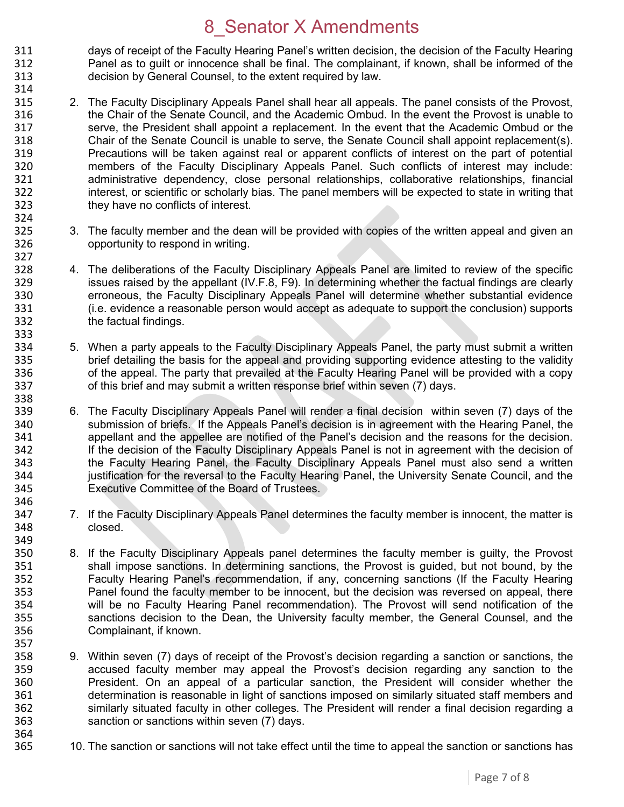311 days of receipt of the Faculty Hearing Panel's written decision, the decision of the Faculty Hearing<br>312 **Frankling Panel as to quilt or innocence shall be final.** The complainant, if known, shall be informed of the Panel as to guilt or innocence shall be final. The complainant, if known, shall be informed of the 313 decision by General Counsel, to the extent required by law. 314

- 315 2. The Faculty Disciplinary Appeals Panel shall hear all appeals. The panel consists of the Provost, 316 the Chair of the Senate Council, and the Academic Ombud. In the event the Provost is unable to 317 serve, the President shall appoint a replacement. In the event that the Academic Ombud or the 318 Senate Council is unable to serve, the Senate Council shall appoint replacement(s). 318 Chair of the Senate Council is unable to serve, the Senate Council shall appoint replacement(s).<br>319 Precautions will be taken against real or apparent conflicts of interest on the part of potential Precautions will be taken against real or apparent conflicts of interest on the part of potential 320 members of the Faculty Disciplinary Appeals Panel. Such conflicts of interest may include:<br>321 administrative dependency, close personal relationships, collaborative relationships, financial administrative dependency, close personal relationships, collaborative relationships, financial 322 interest, or scientific or scholarly bias. The panel members will be expected to state in writing that 323 they have no conflicts of interest.
- 324<br>325 325 3. The faculty member and the dean will be provided with copies of the written appeal and given an 326 opportunity to respond in writing.

327<br>328

338

357<br>358

364<br>365

- 328 4. The deliberations of the Faculty Disciplinary Appeals Panel are limited to review of the specific 329 issues raised by the appellant (IV.F.8, F9). In determining whether the factual findings are clearly 330 erroneous, the Faculty Disciplinary Appeals Panel will determine whether substantial evidence 331 (i.e. evidence a reasonable person would accept as adequate to support the conclusion) supports 332 the factual findings.
- 333<br>334 334 5. When a party appeals to the Faculty Disciplinary Appeals Panel, the party must submit a written<br>335 brief detailing the basis for the appeal and providing supporting evidence attesting to the validity 335 brief detailing the basis for the appeal and providing supporting evidence attesting to the validity<br>336 of the appeal. The party that prevailed at the Faculty Hearing Panel will be provided with a copy 336 of the appeal. The party that prevailed at the Faculty Hearing Panel will be provided with a copy 337 of this brief and may submit a written response brief within seven (7) days.
- 339 6. The Faculty Disciplinary Appeals Panel will render a final decision within seven (7) days of the 340 submission of briefs. If the Appeals Panel's decision is in agreement with the Hearing Panel, the 340 submission of briefs. If the Appeals Panel's decision is in agreement with the Hearing Panel, the<br>341 speellant and the appellee are notified of the Panel's decision and the reasons for the decision. 341 appellant and the appellee are notified of the Panel's decision and the reasons for the decision.<br>342 **1998 1: If the decision of the Faculty Disciplinary Appeals Panel is not in agreement with the decision of** If the decision of the Faculty Disciplinary Appeals Panel is not in agreement with the decision of 343 the Faculty Hearing Panel, the Faculty Disciplinary Appeals Panel must also send a written 344 justification for the reversal to the Faculty Hearing Panel, the University Senate Council, and the 345 Executive Committee of the Board of Trustees. 346
- 347 7. If the Faculty Disciplinary Appeals Panel determines the faculty member is innocent, the matter is 348 closed.
- 349<br>350 350 8. If the Faculty Disciplinary Appeals panel determines the faculty member is guilty, the Provost 351 shall impose sanctions. In determining sanctions, the Provost is guided, but not bound, by the shall impose sanctions. In determining sanctions, the Provost is guided, but not bound, by the 352 Faculty Hearing Panel's recommendation, if any, concerning sanctions (If the Faculty Hearing 353 Panel found the faculty member to be innocent, but the decision was reversed on appeal, there 354 will be no Faculty Hearing Panel recommendation). The Provost will send notification of the<br>355 Sanctions decision to the Dean, the University faculty member, the General Counsel, and the sanctions decision to the Dean, the University faculty member, the General Counsel, and the 356 Complainant, if known.
- 9. Within seven (7) days of receipt of the Provost's decision regarding a sanction or sanctions, the 359 accused faculty member may appeal the Provost's decision regarding any sanction to the 360 President. On an appeal of a particular sanction, the President will consider whether the 361 determination is reasonable in light of sanctions imposed on similarly situated staff members and 362 similarly situated faculty in other colleges. The President will render a final decision regarding a 363 sanction or sanctions within seven (7) days.
	- 10. The sanction or sanctions will not take effect until the time to appeal the sanction or sanctions has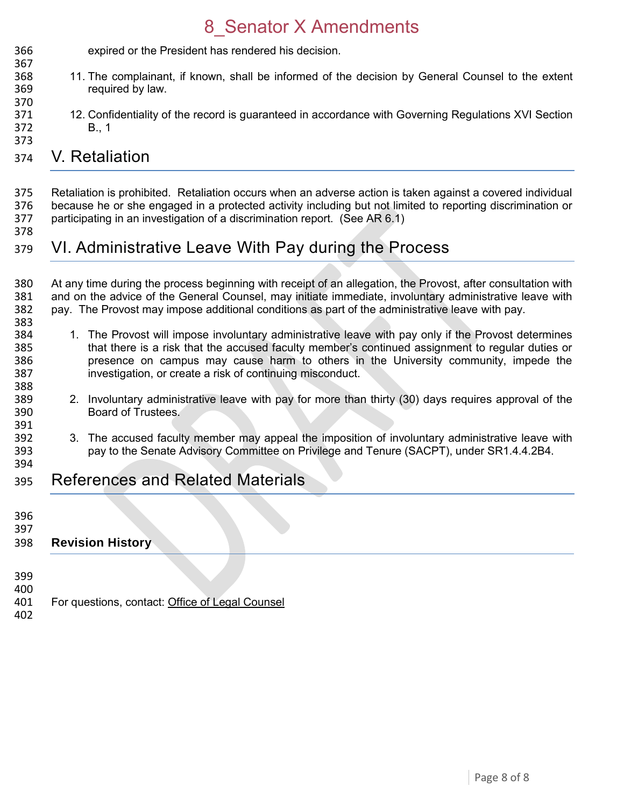expired or the President has rendered his decision. 

- 11. The complainant, if known, shall be informed of the decision by General Counsel to the extent required by law.
- 12. Confidentiality of the record is guaranteed in accordance with Governing Regulations XVI Section B., 1

#### V. Retaliation

 Retaliation is prohibited. Retaliation occurs when an adverse action is taken against a covered individual 376 because he or she engaged in a protected activity including but not limited to reporting discrimination or<br>377 participating in an investigation of a discrimination report. (See AR 6.1) participating in an investigation of a discrimination report. (See AR 6.1)

#### VI. Administrative Leave With Pay during the Process

380 At any time during the process beginning with receipt of an allegation, the Provost, after consultation with<br>381 and on the advice of the General Counsel, may initiate immediate, involuntary administrative leave with and on the advice of the General Counsel, may initiate immediate, involuntary administrative leave with pay. The Provost may impose additional conditions as part of the administrative leave with pay. 

- 384 1. The Provost will impose involuntary administrative leave with pay only if the Provost determines<br>385 that there is a risk that the accused faculty member's continued assignment to regular duties or that there is a risk that the accused faculty member's continued assignment to regular duties or presence on campus may cause harm to others in the University community, impede the investigation, or create a risk of continuing misconduct.
- 2. Involuntary administrative leave with pay for more than thirty (30) days requires approval of the Board of Trustees.
- 392 3. The accused faculty member may appeal the imposition of involuntary administrative leave with<br>393 servine Senate Advisory Committee on Privilege and Tenure (SACPT), under SR1.4.4.2B4. pay to the Senate Advisory Committee on Privilege and Tenure (SACPT), under SR1.4.4.2B4.
- References and Related Materials
- 

391<br>392

- 
- **Revision History**
- 
- For questions, contact: [Office of Legal Counsel](mailto:LegalRegs@uky.edu)
-